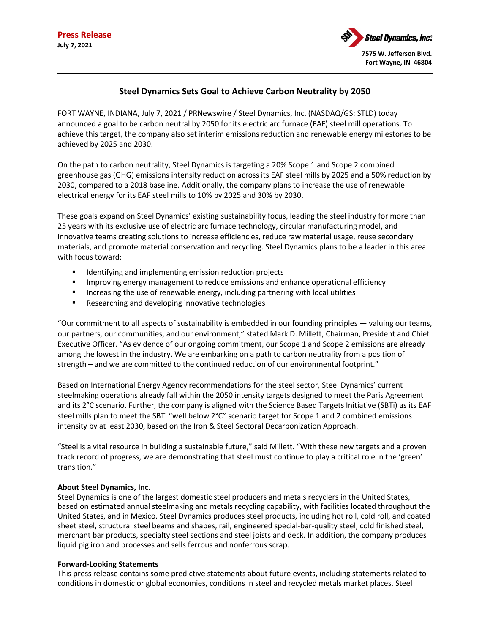

## **Steel Dynamics Sets Goal to Achieve Carbon Neutrality by 2050**

FORT WAYNE, INDIANA, July 7, 2021 / PRNewswire / Steel Dynamics, Inc. (NASDAQ/GS: STLD) today announced a goal to be carbon neutral by 2050 for its electric arc furnace (EAF) steel mill operations. To achieve this target, the company also set interim emissions reduction and renewable energy milestones to be achieved by 2025 and 2030.

On the path to carbon neutrality, Steel Dynamics is targeting a 20% Scope 1 and Scope 2 combined greenhouse gas (GHG) emissions intensity reduction across its EAF steel mills by 2025 and a 50% reduction by 2030, compared to a 2018 baseline. Additionally, the company plans to increase the use of renewable electrical energy for its EAF steel mills to 10% by 2025 and 30% by 2030.

These goals expand on Steel Dynamics' existing sustainability focus, leading the steel industry for more than 25 years with its exclusive use of electric arc furnace technology, circular manufacturing model, and innovative teams creating solutions to increase efficiencies, reduce raw material usage, reuse secondary materials, and promote material conservation and recycling. Steel Dynamics plans to be a leader in this area with focus toward:

- **IDENTIFY 1** Identifying and implementing emission reduction projects
- **IMPROM** 11 management to reduce emissions and enhance operational efficiency
- **Increasing the use of renewable energy, including partnering with local utilities**
- **Researching and developing innovative technologies**

"Our commitment to all aspects of sustainability is embedded in our founding principles — valuing our teams, our partners, our communities, and our environment," stated Mark D. Millett, Chairman, President and Chief Executive Officer. "As evidence of our ongoing commitment, our Scope 1 and Scope 2 emissions are already among the lowest in the industry. We are embarking on a path to carbon neutrality from a position of strength – and we are committed to the continued reduction of our environmental footprint."

Based on International Energy Agency recommendations for the steel sector, Steel Dynamics' current steelmaking operations already fall within the 2050 intensity targets designed to meet the Paris Agreement and its 2°C scenario. Further, the company is aligned with the Science Based Targets Initiative (SBTi) as its EAF steel mills plan to meet the SBTi "well below 2°C" scenario target for Scope 1 and 2 combined emissions intensity by at least 2030, based on the Iron & Steel Sectoral Decarbonization Approach.

"Steel is a vital resource in building a sustainable future," said Millett. "With these new targets and a proven track record of progress, we are demonstrating that steel must continue to play a critical role in the 'green' transition."

## **About Steel Dynamics, Inc.**

Steel Dynamics is one of the largest domestic steel producers and metals recyclers in the United States, based on estimated annual steelmaking and metals recycling capability, with facilities located throughout the United States, and in Mexico. Steel Dynamics produces steel products, including hot roll, cold roll, and coated sheet steel, structural steel beams and shapes, rail, engineered special-bar-quality steel, cold finished steel, merchant bar products, specialty steel sections and steel joists and deck. In addition, the company produces liquid pig iron and processes and sells ferrous and nonferrous scrap.

## **Forward-Looking Statements**

This press release contains some predictive statements about future events, including statements related to conditions in domestic or global economies, conditions in steel and recycled metals market places, Steel